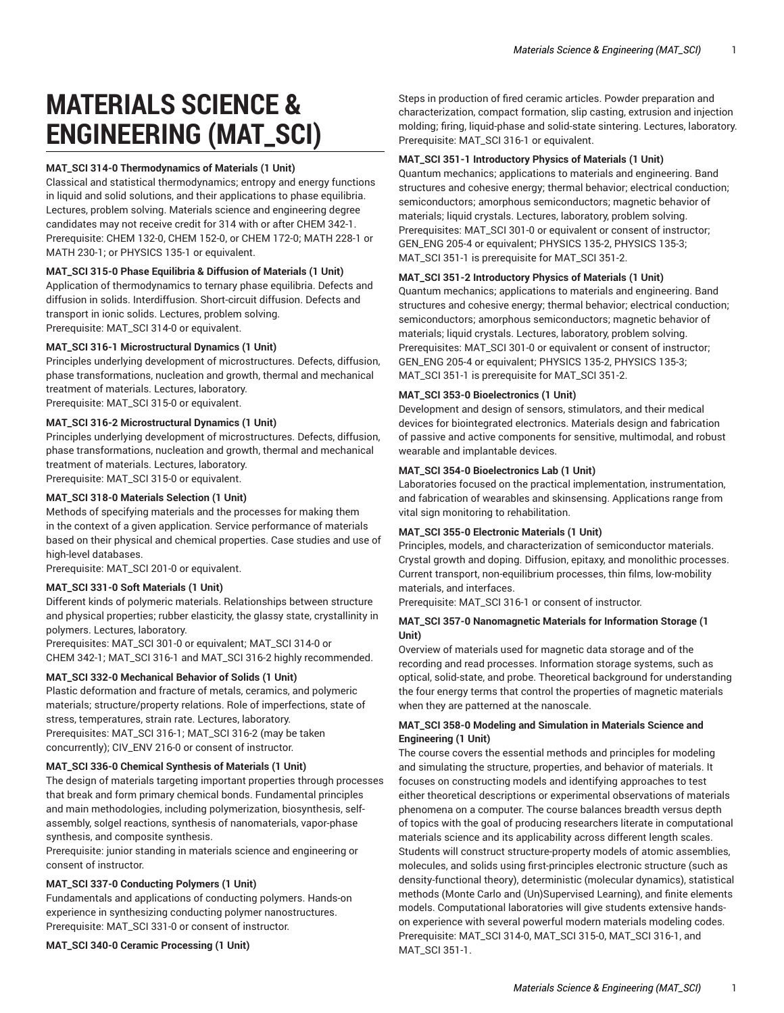# **MATERIALS SCIENCE & ENGINEERING (MAT\_SCI)**

## **MAT\_SCI 314-0 Thermodynamics of Materials (1 Unit)**

Classical and statistical thermodynamics; entropy and energy functions in liquid and solid solutions, and their applications to phase equilibria. Lectures, problem solving. Materials science and engineering degree candidates may not receive credit for 314 with or after CHEM 342-1. Prerequisite: CHEM 132-0, CHEM 152-0, or CHEM 172-0; MATH 228-1 or MATH 230-1; or PHYSICS 135-1 or equivalent.

## **MAT\_SCI 315-0 Phase Equilibria & Diffusion of Materials (1 Unit)**

Application of thermodynamics to ternary phase equilibria. Defects and diffusion in solids. Interdiffusion. Short-circuit diffusion. Defects and transport in ionic solids. Lectures, problem solving. Prerequisite: MAT\_SCI 314-0 or equivalent.

#### **MAT\_SCI 316-1 Microstructural Dynamics (1 Unit)**

Principles underlying development of microstructures. Defects, diffusion, phase transformations, nucleation and growth, thermal and mechanical treatment of materials. Lectures, laboratory. Prerequisite: MAT\_SCI 315-0 or equivalent.

## **MAT\_SCI 316-2 Microstructural Dynamics (1 Unit)**

Principles underlying development of microstructures. Defects, diffusion, phase transformations, nucleation and growth, thermal and mechanical treatment of materials. Lectures, laboratory. Prerequisite: MAT\_SCI 315-0 or equivalent.

## **MAT\_SCI 318-0 Materials Selection (1 Unit)**

Methods of specifying materials and the processes for making them in the context of a given application. Service performance of materials based on their physical and chemical properties. Case studies and use of high-level databases.

Prerequisite: MAT\_SCI 201-0 or equivalent.

#### **MAT\_SCI 331-0 Soft Materials (1 Unit)**

Different kinds of polymeric materials. Relationships between structure and physical properties; rubber elasticity, the glassy state, crystallinity in polymers. Lectures, laboratory.

Prerequisites: MAT\_SCI 301-0 or equivalent; MAT\_SCI 314-0 or CHEM 342-1; MAT\_SCI 316-1 and MAT\_SCI 316-2 highly recommended.

#### **MAT\_SCI 332-0 Mechanical Behavior of Solids (1 Unit)**

Plastic deformation and fracture of metals, ceramics, and polymeric materials; structure/property relations. Role of imperfections, state of stress, temperatures, strain rate. Lectures, laboratory. Prerequisites: MAT\_SCI 316-1; MAT\_SCI 316-2 (may be taken concurrently); CIV\_ENV 216-0 or consent of instructor.

#### **MAT\_SCI 336-0 Chemical Synthesis of Materials (1 Unit)**

The design of materials targeting important properties through processes that break and form primary chemical bonds. Fundamental principles and main methodologies, including polymerization, biosynthesis, selfassembly, solgel reactions, synthesis of nanomaterials, vapor-phase synthesis, and composite synthesis.

Prerequisite: junior standing in materials science and engineering or consent of instructor.

## **MAT\_SCI 337-0 Conducting Polymers (1 Unit)**

Fundamentals and applications of conducting polymers. Hands-on experience in synthesizing conducting polymer nanostructures. Prerequisite: MAT\_SCI 331-0 or consent of instructor.

**MAT\_SCI 340-0 Ceramic Processing (1 Unit)** 

Steps in production of fired ceramic articles. Powder preparation and characterization, compact formation, slip casting, extrusion and injection molding; firing, liquid-phase and solid-state sintering. Lectures, laboratory. Prerequisite: MAT\_SCI 316-1 or equivalent.

## **MAT\_SCI 351-1 Introductory Physics of Materials (1 Unit)**

Quantum mechanics; applications to materials and engineering. Band structures and cohesive energy; thermal behavior; electrical conduction; semiconductors; amorphous semiconductors; magnetic behavior of materials; liquid crystals. Lectures, laboratory, problem solving. Prerequisites: MAT\_SCI 301-0 or equivalent or consent of instructor; GEN\_ENG 205-4 or equivalent; PHYSICS 135-2, PHYSICS 135-3; MAT\_SCI 351-1 is prerequisite for MAT\_SCI 351-2.

## **MAT\_SCI 351-2 Introductory Physics of Materials (1 Unit)**

Quantum mechanics; applications to materials and engineering. Band structures and cohesive energy; thermal behavior; electrical conduction; semiconductors; amorphous semiconductors; magnetic behavior of materials; liquid crystals. Lectures, laboratory, problem solving. Prerequisites: MAT\_SCI 301-0 or equivalent or consent of instructor; GEN\_ENG 205-4 or equivalent; PHYSICS 135-2, PHYSICS 135-3; MAT\_SCI 351-1 is prerequisite for MAT\_SCI 351-2.

## **MAT\_SCI 353-0 Bioelectronics (1 Unit)**

Development and design of sensors, stimulators, and their medical devices for biointegrated electronics. Materials design and fabrication of passive and active components for sensitive, multimodal, and robust wearable and implantable devices.

# **MAT\_SCI 354-0 Bioelectronics Lab (1 Unit)**

Laboratories focused on the practical implementation, instrumentation, and fabrication of wearables and skinsensing. Applications range from vital sign monitoring to rehabilitation.

#### **MAT\_SCI 355-0 Electronic Materials (1 Unit)**

Principles, models, and characterization of semiconductor materials. Crystal growth and doping. Diffusion, epitaxy, and monolithic processes. Current transport, non-equilibrium processes, thin films, low-mobility materials, and interfaces.

Prerequisite: MAT\_SCI 316-1 or consent of instructor.

## **MAT\_SCI 357-0 Nanomagnetic Materials for Information Storage (1 Unit)**

Overview of materials used for magnetic data storage and of the recording and read processes. Information storage systems, such as optical, solid-state, and probe. Theoretical background for understanding the four energy terms that control the properties of magnetic materials when they are patterned at the nanoscale.

## **MAT\_SCI 358-0 Modeling and Simulation in Materials Science and Engineering (1 Unit)**

The course covers the essential methods and principles for modeling and simulating the structure, properties, and behavior of materials. It focuses on constructing models and identifying approaches to test either theoretical descriptions or experimental observations of materials phenomena on a computer. The course balances breadth versus depth of topics with the goal of producing researchers literate in computational materials science and its applicability across different length scales. Students will construct structure-property models of atomic assemblies, molecules, and solids using first-principles electronic structure (such as density-functional theory), deterministic (molecular dynamics), statistical methods (Monte Carlo and (Un)Supervised Learning), and finite elements models. Computational laboratories will give students extensive handson experience with several powerful modern materials modeling codes. Prerequisite: MAT\_SCI 314-0, MAT\_SCI 315-0, MAT\_SCI 316-1, and MAT\_SCI 351-1.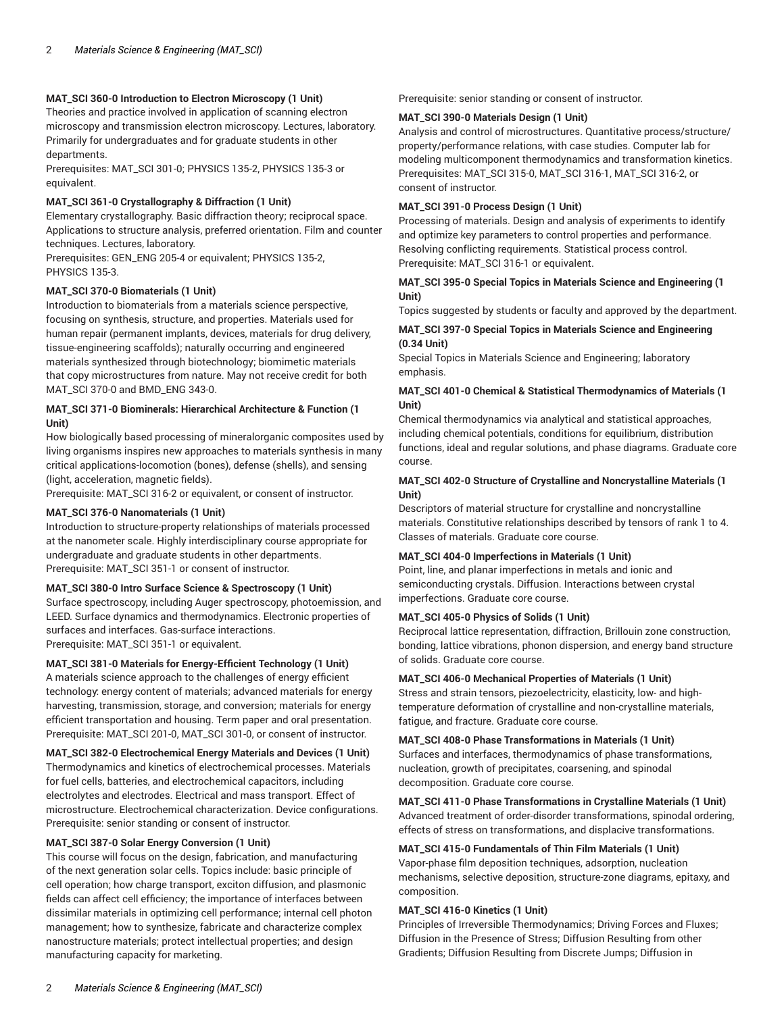# **MAT\_SCI 360-0 Introduction to Electron Microscopy (1 Unit)**

Theories and practice involved in application of scanning electron microscopy and transmission electron microscopy. Lectures, laboratory. Primarily for undergraduates and for graduate students in other departments.

Prerequisites: MAT\_SCI 301-0; PHYSICS 135-2, PHYSICS 135-3 or equivalent.

## **MAT\_SCI 361-0 Crystallography & Diffraction (1 Unit)**

Elementary crystallography. Basic diffraction theory; reciprocal space. Applications to structure analysis, preferred orientation. Film and counter techniques. Lectures, laboratory.

Prerequisites: GEN\_ENG 205-4 or equivalent; PHYSICS 135-2, PHYSICS 135-3.

## **MAT\_SCI 370-0 Biomaterials (1 Unit)**

Introduction to biomaterials from a materials science perspective, focusing on synthesis, structure, and properties. Materials used for human repair (permanent implants, devices, materials for drug delivery, tissue-engineering scaffolds); naturally occurring and engineered materials synthesized through biotechnology; biomimetic materials that copy microstructures from nature. May not receive credit for both MAT\_SCI 370-0 and BMD\_ENG 343-0.

# **MAT\_SCI 371-0 Biominerals: Hierarchical Architecture & Function (1 Unit)**

How biologically based processing of mineralorganic composites used by living organisms inspires new approaches to materials synthesis in many critical applications-locomotion (bones), defense (shells), and sensing (light, acceleration, magnetic fields).

Prerequisite: MAT\_SCI 316-2 or equivalent, or consent of instructor.

# **MAT\_SCI 376-0 Nanomaterials (1 Unit)**

Introduction to structure-property relationships of materials processed at the nanometer scale. Highly interdisciplinary course appropriate for undergraduate and graduate students in other departments. Prerequisite: MAT\_SCI 351-1 or consent of instructor.

# **MAT\_SCI 380-0 Intro Surface Science & Spectroscopy (1 Unit)**

Surface spectroscopy, including Auger spectroscopy, photoemission, and LEED. Surface dynamics and thermodynamics. Electronic properties of surfaces and interfaces. Gas-surface interactions. Prerequisite: MAT\_SCI 351-1 or equivalent.

# **MAT\_SCI 381-0 Materials for Energy-Efficient Technology (1 Unit)**

A materials science approach to the challenges of energy efficient technology: energy content of materials; advanced materials for energy harvesting, transmission, storage, and conversion; materials for energy efficient transportation and housing. Term paper and oral presentation. Prerequisite: MAT\_SCI 201-0, MAT\_SCI 301-0, or consent of instructor.

# **MAT\_SCI 382-0 Electrochemical Energy Materials and Devices (1 Unit)** Thermodynamics and kinetics of electrochemical processes. Materials

for fuel cells, batteries, and electrochemical capacitors, including electrolytes and electrodes. Electrical and mass transport. Effect of microstructure. Electrochemical characterization. Device configurations. Prerequisite: senior standing or consent of instructor.

# **MAT\_SCI 387-0 Solar Energy Conversion (1 Unit)**

This course will focus on the design, fabrication, and manufacturing of the next generation solar cells. Topics include: basic principle of cell operation; how charge transport, exciton diffusion, and plasmonic fields can affect cell efficiency; the importance of interfaces between dissimilar materials in optimizing cell performance; internal cell photon management; how to synthesize, fabricate and characterize complex nanostructure materials; protect intellectual properties; and design manufacturing capacity for marketing.

Prerequisite: senior standing or consent of instructor.

## **MAT\_SCI 390-0 Materials Design (1 Unit)**

Analysis and control of microstructures. Quantitative process/structure/ property/performance relations, with case studies. Computer lab for modeling multicomponent thermodynamics and transformation kinetics. Prerequisites: MAT\_SCI 315-0, MAT\_SCI 316-1, MAT\_SCI 316-2, or consent of instructor.

## **MAT\_SCI 391-0 Process Design (1 Unit)**

Processing of materials. Design and analysis of experiments to identify and optimize key parameters to control properties and performance. Resolving conflicting requirements. Statistical process control. Prerequisite: MAT\_SCI 316-1 or equivalent.

## **MAT\_SCI 395-0 Special Topics in Materials Science and Engineering (1 Unit)**

Topics suggested by students or faculty and approved by the department.

## **MAT\_SCI 397-0 Special Topics in Materials Science and Engineering (0.34 Unit)**

Special Topics in Materials Science and Engineering; laboratory emphasis.

# **MAT\_SCI 401-0 Chemical & Statistical Thermodynamics of Materials (1 Unit)**

Chemical thermodynamics via analytical and statistical approaches, including chemical potentials, conditions for equilibrium, distribution functions, ideal and regular solutions, and phase diagrams. Graduate core course.

# **MAT\_SCI 402-0 Structure of Crystalline and Noncrystalline Materials (1 Unit)**

Descriptors of material structure for crystalline and noncrystalline materials. Constitutive relationships described by tensors of rank 1 to 4. Classes of materials. Graduate core course.

# **MAT\_SCI 404-0 Imperfections in Materials (1 Unit)**

Point, line, and planar imperfections in metals and ionic and semiconducting crystals. Diffusion. Interactions between crystal imperfections. Graduate core course.

## **MAT\_SCI 405-0 Physics of Solids (1 Unit)**

Reciprocal lattice representation, diffraction, Brillouin zone construction, bonding, lattice vibrations, phonon dispersion, and energy band structure of solids. Graduate core course.

# **MAT\_SCI 406-0 Mechanical Properties of Materials (1 Unit)**

Stress and strain tensors, piezoelectricity, elasticity, low- and hightemperature deformation of crystalline and non-crystalline materials, fatigue, and fracture. Graduate core course.

# **MAT\_SCI 408-0 Phase Transformations in Materials (1 Unit)**

Surfaces and interfaces, thermodynamics of phase transformations, nucleation, growth of precipitates, coarsening, and spinodal decomposition. Graduate core course.

# **MAT\_SCI 411-0 Phase Transformations in Crystalline Materials (1 Unit)** Advanced treatment of order-disorder transformations, spinodal ordering, effects of stress on transformations, and displacive transformations.

# **MAT\_SCI 415-0 Fundamentals of Thin Film Materials (1 Unit)**

Vapor-phase film deposition techniques, adsorption, nucleation mechanisms, selective deposition, structure-zone diagrams, epitaxy, and composition.

# **MAT\_SCI 416-0 Kinetics (1 Unit)**

Principles of Irreversible Thermodynamics; Driving Forces and Fluxes; Diffusion in the Presence of Stress; Diffusion Resulting from other Gradients; Diffusion Resulting from Discrete Jumps; Diffusion in